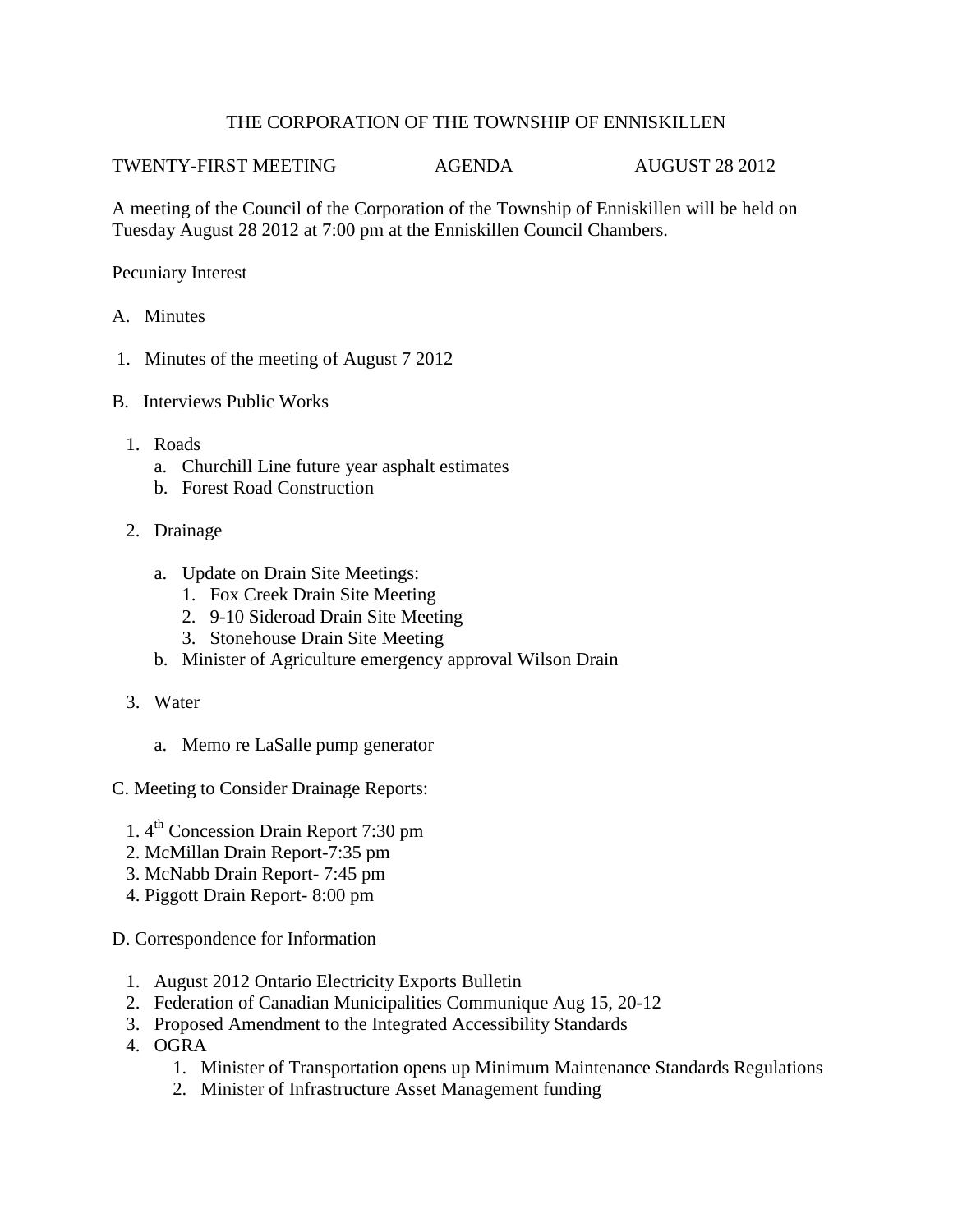## THE CORPORATION OF THE TOWNSHIP OF ENNISKILLEN

TWENTY-FIRST MEETING AGENDA AUGUST 28 2012

A meeting of the Council of the Corporation of the Township of Enniskillen will be held on Tuesday August 28 2012 at 7:00 pm at the Enniskillen Council Chambers.

Pecuniary Interest

- A. Minutes
- 1. Minutes of the meeting of August 7 2012
- B. Interviews Public Works
	- 1. Roads
		- a. Churchill Line future year asphalt estimates
		- b. Forest Road Construction
	- 2. Drainage
		- a. Update on Drain Site Meetings:
			- 1. Fox Creek Drain Site Meeting
			- 2. 9-10 Sideroad Drain Site Meeting
			- 3. Stonehouse Drain Site Meeting
		- b. Minister of Agriculture emergency approval Wilson Drain
	- 3. Water
		- a. Memo re LaSalle pump generator
- C. Meeting to Consider Drainage Reports:
	- 1. 4<sup>th</sup> Concession Drain Report 7:30 pm
	- 2. McMillan Drain Report-7:35 pm
	- 3. McNabb Drain Report- 7:45 pm
	- 4. Piggott Drain Report- 8:00 pm
- D. Correspondence for Information
	- 1. August 2012 Ontario Electricity Exports Bulletin
	- 2. Federation of Canadian Municipalities Communique Aug 15, 20-12
	- 3. Proposed Amendment to the Integrated Accessibility Standards
	- 4. OGRA
		- 1. Minister of Transportation opens up Minimum Maintenance Standards Regulations
		- 2. Minister of Infrastructure Asset Management funding